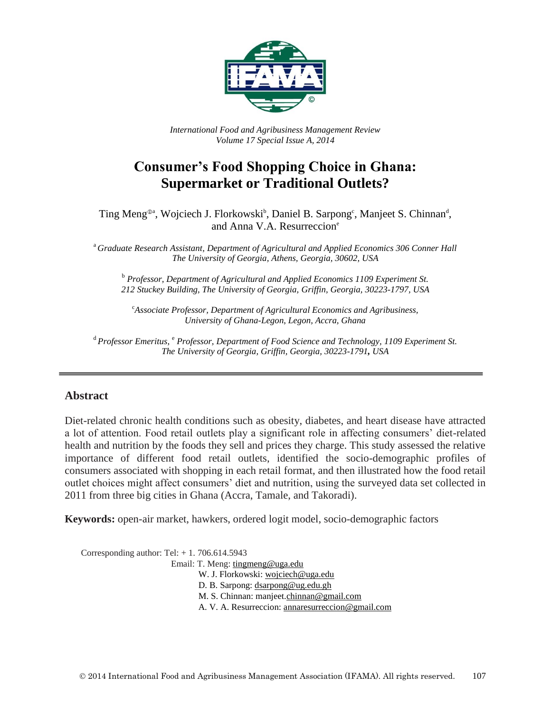

*International Food and Agribusiness Management Review Volume 17 Special Issue A, 2014*

# **Consumer's Food Shopping Choice in Ghana: Supermarket or Traditional Outlets?**

Ting Meng<sup>®a</sup>, Wojciech J. Florkowski<sup>b</sup>, Daniel B. Sarpong<sup>c</sup>, Manjeet S. Chinnan<sup>d</sup>, and Anna V.A. Resurreccion<sup>e</sup>

<sup>a</sup> *Graduate Research Assistant, Department of Agricultural and Applied Economics 306 Conner Hall The University of Georgia, Athens, Georgia, 30602, USA*

<sup>b</sup> *Professor, Department of Agricultural and Applied Economics 1109 Experiment St. 212 Stuckey Building, The University of Georgia, Griffin, Georgia, 30223-1797, USA*

<sup>c</sup>*Associate Professor, Department of Agricultural Economics and Agribusiness, University of Ghana-Legon*, *Legon, Accra, Ghana*

<sup>d</sup> Professor Emeritus, <sup>e</sup> Professor, Department of Food Science and Technology, 1109 Experiment St. *The University of Georgia, Griffin, Georgia, 30223-1791, USA*

#### **Abstract**

Diet-related chronic health conditions such as obesity, diabetes, and heart disease have attracted a lot of attention. Food retail outlets play a significant role in affecting consumers' diet-related health and nutrition by the foods they sell and prices they charge. This study assessed the relative importance of different food retail outlets, identified the socio-demographic profiles of consumers associated with shopping in each retail format, and then illustrated how the food retail outlet choices might affect consumers' diet and nutrition, using the surveyed data set collected in 2011 from three big cities in Ghana (Accra, Tamale, and Takoradi).

**Keywords:** open-air market, hawkers, ordered logit model, socio-demographic factors

Corresponding author: Tel: + 1. 706.614.5943 Email: T. Meng: [tingmeng@uga.edu](mailto:tingmeng@uga.edu) W. J. Florkowski[: wojciech@uga.edu](mailto:wojciech@uga.edu) D. B. Sarpong: [dsarpong@ug.edu.gh](mailto:dsarpong@ugh.gh) M. S. Chinnan: manjeet[.chinnan@gmail.com](mailto:chinnan@gmail.com)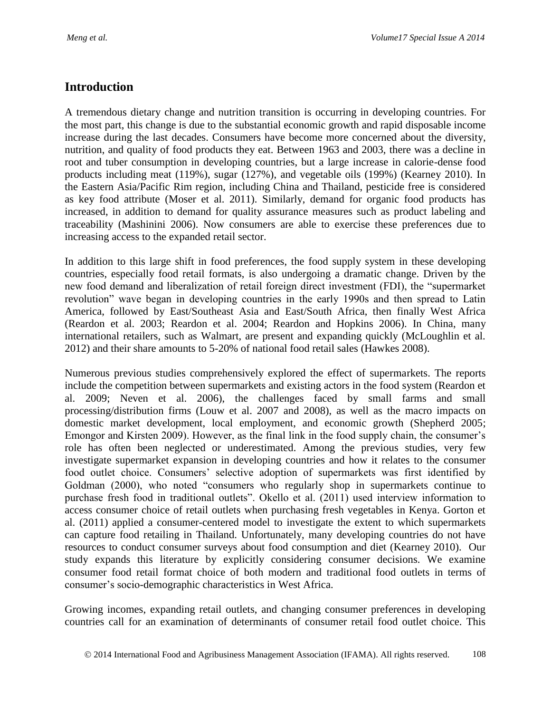### **Introduction**

A tremendous dietary change and nutrition transition is occurring in developing countries. For the most part, this change is due to the substantial economic growth and rapid disposable income increase during the last decades. Consumers have become more concerned about the diversity, nutrition, and quality of food products they eat. Between 1963 and 2003, there was a decline in root and tuber consumption in developing countries, but a large increase in calorie-dense food products including meat (119%), sugar (127%), and vegetable oils (199%) (Kearney 2010). In the Eastern Asia/Pacific Rim region, including China and Thailand, pesticide free is considered as key food attribute (Moser et al. 2011). Similarly, demand for organic food products has increased, in addition to demand for quality assurance measures such as product labeling and traceability (Mashinini 2006). Now consumers are able to exercise these preferences due to increasing access to the expanded retail sector.

In addition to this large shift in food preferences, the food supply system in these developing countries, especially food retail formats, is also undergoing a dramatic change. Driven by the new food demand and liberalization of retail foreign direct investment (FDI), the "supermarket revolution" wave began in developing countries in the early 1990s and then spread to Latin America, followed by East/Southeast Asia and East/South Africa, then finally West Africa (Reardon et al. 2003; Reardon et al. 2004; Reardon and Hopkins 2006). In China, many international retailers, such as Walmart, are present and expanding quickly (McLoughlin et al. 2012) and their share amounts to 5-20% of national food retail sales (Hawkes 2008).

Numerous previous studies comprehensively explored the effect of supermarkets. The reports include the competition between supermarkets and existing actors in the food system (Reardon et al. 2009; Neven et al. 2006), the challenges faced by small farms and small processing/distribution firms (Louw et al. 2007 and 2008), as well as the macro impacts on domestic market development, local employment, and economic growth (Shepherd 2005; Emongor and Kirsten 2009). However, as the final link in the food supply chain, the consumer's role has often been neglected or underestimated. Among the previous studies, very few investigate supermarket expansion in developing countries and how it relates to the consumer food outlet choice. Consumers' selective adoption of supermarkets was first identified by Goldman (2000), who noted "consumers who regularly shop in supermarkets continue to purchase fresh food in traditional outlets". Okello et al. (2011) used interview information to access consumer choice of retail outlets when purchasing fresh vegetables in Kenya. Gorton et al. (2011) applied a consumer-centered model to investigate the extent to which supermarkets can capture food retailing in Thailand. Unfortunately, many developing countries do not have resources to conduct consumer surveys about food consumption and diet (Kearney 2010). Our study expands this literature by explicitly considering consumer decisions. We examine consumer food retail format choice of both modern and traditional food outlets in terms of consumer's socio-demographic characteristics in West Africa.

Growing incomes, expanding retail outlets, and changing consumer preferences in developing countries call for an examination of determinants of consumer retail food outlet choice. This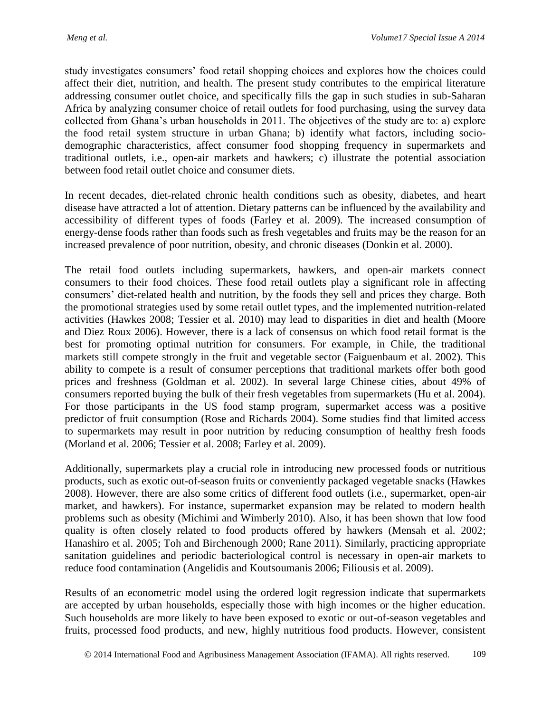study investigates consumers' food retail shopping choices and explores how the choices could affect their diet, nutrition, and health. The present study contributes to the empirical literature addressing consumer outlet choice, and specifically fills the gap in such studies in sub-Saharan Africa by analyzing consumer choice of retail outlets for food purchasing, using the survey data collected from Ghana's urban households in 2011. The objectives of the study are to: a) explore the food retail system structure in urban Ghana; b) identify what factors, including sociodemographic characteristics, affect consumer food shopping frequency in supermarkets and traditional outlets, i.e., open-air markets and hawkers; c) illustrate the potential association between food retail outlet choice and consumer diets.

In recent decades, diet-related chronic health conditions such as obesity, diabetes, and heart disease have attracted a lot of attention. Dietary patterns can be influenced by the availability and accessibility of different types of foods (Farley et al. 2009). The increased consumption of energy-dense foods rather than foods such as fresh vegetables and fruits may be the reason for an increased prevalence of poor nutrition, obesity, and chronic diseases (Donkin et al. 2000).

The retail food outlets including supermarkets, hawkers, and open-air markets connect consumers to their food choices. These food retail outlets play a significant role in affecting consumers' diet-related health and nutrition, by the foods they sell and prices they charge. Both the promotional strategies used by some retail outlet types, and the implemented nutrition-related activities (Hawkes 2008; Tessier et al. 2010) may lead to disparities in diet and health (Moore and Diez Roux 2006). However, there is a lack of consensus on which food retail format is the best for promoting optimal nutrition for consumers. For example, in Chile, the traditional markets still compete strongly in the fruit and vegetable sector (Faiguenbaum et al. 2002). This ability to compete is a result of consumer perceptions that traditional markets offer both good prices and freshness (Goldman et al. 2002). In several large Chinese cities, about 49% of consumers reported buying the bulk of their fresh vegetables from supermarkets (Hu et al. 2004). For those participants in the US food stamp program, supermarket access was a positive predictor of fruit consumption (Rose and Richards 2004). Some studies find that limited access to supermarkets may result in poor nutrition by reducing consumption of healthy fresh foods (Morland et al. 2006; Tessier et al. 2008; Farley et al. 2009).

Additionally, supermarkets play a crucial role in introducing new processed foods or nutritious products, such as exotic out-of-season fruits or conveniently packaged vegetable snacks (Hawkes 2008). However, there are also some critics of different food outlets (i.e., supermarket, open-air market, and hawkers). For instance, supermarket expansion may be related to modern health problems such as obesity (Michimi and Wimberly 2010). Also, it has been shown that low food quality is often closely related to food products offered by hawkers (Mensah et al. 2002; Hanashiro et al. 2005; Toh and Birchenough 2000; Rane 2011). Similarly, practicing appropriate sanitation guidelines and periodic bacteriological control is necessary in open-air markets to reduce food contamination (Angelidis and Koutsoumanis 2006; Filiousis et al. 2009).

Results of an econometric model using the ordered logit regression indicate that supermarkets are accepted by urban households, especially those with high incomes or the higher education. Such households are more likely to have been exposed to exotic or out-of-season vegetables and fruits, processed food products, and new, highly nutritious food products. However, consistent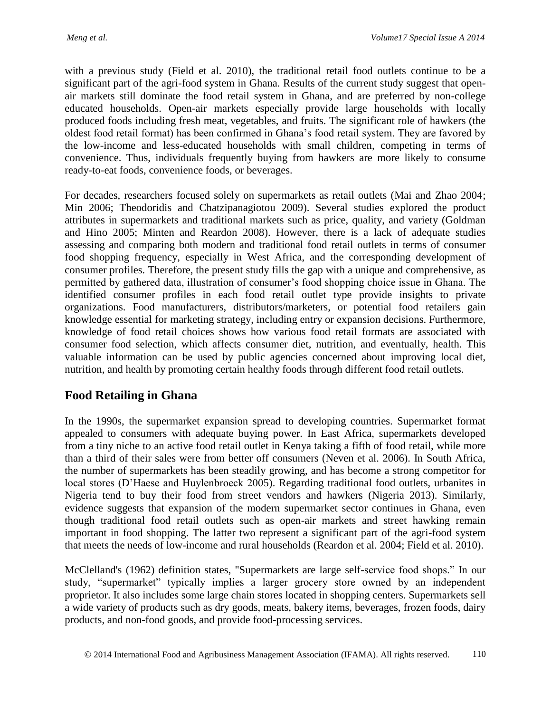with a previous study (Field et al. 2010), the traditional retail food outlets continue to be a significant part of the agri-food system in Ghana. Results of the current study suggest that openair markets still dominate the food retail system in Ghana, and are preferred by non-college educated households. Open-air markets especially provide large households with locally produced foods including fresh meat, vegetables, and fruits. The significant role of hawkers (the oldest food retail format) has been confirmed in Ghana's food retail system. They are favored by the low-income and less-educated households with small children, competing in terms of convenience. Thus, individuals frequently buying from hawkers are more likely to consume ready-to-eat foods, convenience foods, or beverages.

For decades, researchers focused solely on supermarkets as retail outlets (Mai and Zhao 2004; Min 2006; Theodoridis and Chatzipanagiotou 2009). Several studies explored the product attributes in supermarkets and traditional markets such as price, quality, and variety (Goldman and Hino 2005; Minten and Reardon 2008). However, there is a lack of adequate studies assessing and comparing both modern and traditional food retail outlets in terms of consumer food shopping frequency, especially in West Africa, and the corresponding development of consumer profiles. Therefore, the present study fills the gap with a unique and comprehensive, as permitted by gathered data, illustration of consumer's food shopping choice issue in Ghana. The identified consumer profiles in each food retail outlet type provide insights to private organizations. Food manufacturers, distributors/marketers, or potential food retailers gain knowledge essential for marketing strategy, including entry or expansion decisions. Furthermore, knowledge of food retail choices shows how various food retail formats are associated with consumer food selection, which affects consumer diet, nutrition, and eventually, health. This valuable information can be used by public agencies concerned about improving local diet, nutrition, and health by promoting certain healthy foods through different food retail outlets.

# **Food Retailing in Ghana**

In the 1990s, the supermarket expansion spread to developing countries. Supermarket format appealed to consumers with adequate buying power. In East Africa, supermarkets developed from a tiny niche to an active food retail outlet in Kenya taking a fifth of food retail, while more than a third of their sales were from better off consumers (Neven et al. 2006). In South Africa, the number of supermarkets has been steadily growing, and has become a strong competitor for local stores (D'Haese and Huylenbroeck 2005). Regarding traditional food outlets, urbanites in Nigeria tend to buy their food from street vendors and hawkers (Nigeria 2013). Similarly, evidence suggests that expansion of the modern supermarket sector continues in Ghana, even though traditional food retail outlets such as open-air markets and street hawking remain important in food shopping. The latter two represent a significant part of the agri-food system that meets the needs of low-income and rural households (Reardon et al. 2004; Field et al. 2010).

McClelland's (1962) definition states, "Supermarkets are large self-service food shops." In our study, "supermarket" typically implies a larger grocery store owned by an independent proprietor. It also includes some large chain stores located in shopping centers. Supermarkets sell a wide variety of products such as dry goods, meats, bakery items, beverages, frozen foods, dairy products, and non-food goods, and provide food-processing services.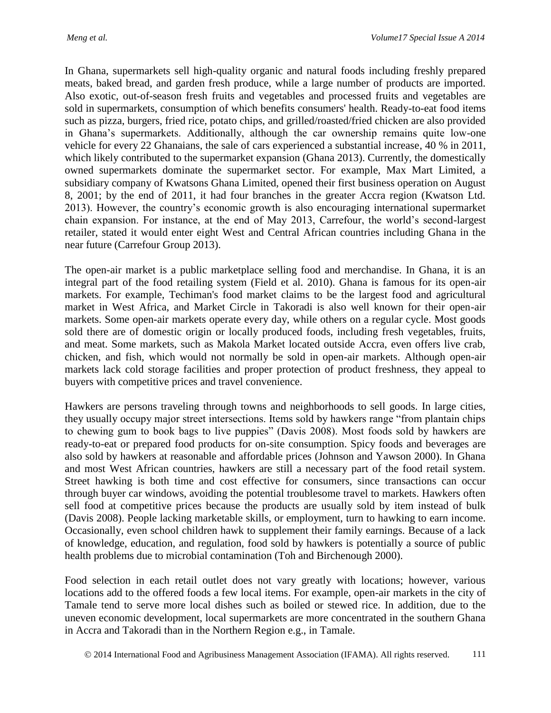In Ghana, supermarkets sell high-quality organic and natural foods including freshly prepared meats, baked bread, and garden fresh produce, while a large number of products are imported. Also exotic, out-of-season fresh fruits and vegetables and processed fruits and vegetables are sold in supermarkets, consumption of which benefits consumers' health. Ready-to-eat food items such as pizza, burgers, fried rice, potato chips, and grilled/roasted/fried chicken are also provided in Ghana's supermarkets. Additionally, although the car ownership remains quite low-one vehicle for every 22 Ghanaians, the sale of cars experienced a substantial increase, 40 % in 2011, which likely contributed to the supermarket expansion (Ghana 2013). Currently, the domestically owned supermarkets dominate the supermarket sector. For example, Max Mart Limited, a subsidiary company of Kwatsons Ghana Limited, opened their first business operation on August 8, 2001; by the end of 2011, it had four branches in the greater Accra region (Kwatson Ltd. 2013). However, the country's economic growth is also encouraging international supermarket chain expansion. For instance, at the end of May 2013, Carrefour, the world's second-largest retailer, stated it would enter eight West and Central African countries including Ghana in the near future (Carrefour Group 2013).

The open-air market is a public marketplace selling food and merchandise. In Ghana, it is an integral part of the food retailing system (Field et al. 2010). Ghana is famous for its open-air markets. For example, Techiman's food market claims to be the largest food and agricultural market in West Africa, and Market Circle in Takoradi is also well known for their open-air markets. Some open-air markets operate every day, while others on a regular cycle. Most goods sold there are of domestic origin or locally produced foods, including fresh vegetables, fruits, and meat. Some markets, such as Makola Market located outside Accra, even offers live crab, chicken, and fish, which would not normally be sold in open-air markets. Although open-air markets lack cold storage facilities and proper protection of product freshness, they appeal to buyers with competitive prices and travel convenience.

Hawkers are persons traveling through towns and neighborhoods to sell goods. In large cities, they usually occupy major street intersections. Items sold by hawkers range "from plantain chips to chewing gum to book bags to live puppies" (Davis 2008). Most foods sold by hawkers are ready-to-eat or prepared food products for on-site consumption. Spicy foods and beverages are also sold by hawkers at reasonable and affordable prices (Johnson and Yawson 2000). In Ghana and most West African countries, hawkers are still a necessary part of the food retail system. Street hawking is both time and cost effective for consumers, since transactions can occur through buyer car windows, avoiding the potential troublesome travel to markets. Hawkers often sell food at competitive prices because the products are usually sold by item instead of bulk (Davis 2008). People lacking marketable skills, or employment, turn to hawking to earn income. Occasionally, even school children hawk to supplement their family earnings. Because of a lack of knowledge, education, and regulation, food sold by hawkers is potentially a source of public health problems due to microbial contamination (Toh and Birchenough 2000).

Food selection in each retail outlet does not vary greatly with locations; however, various locations add to the offered foods a few local items. For example, open-air markets in the city of Tamale tend to serve more local dishes such as boiled or stewed rice. In addition, due to the uneven economic development, local supermarkets are more concentrated in the southern Ghana in Accra and Takoradi than in the Northern Region e.g., in Tamale.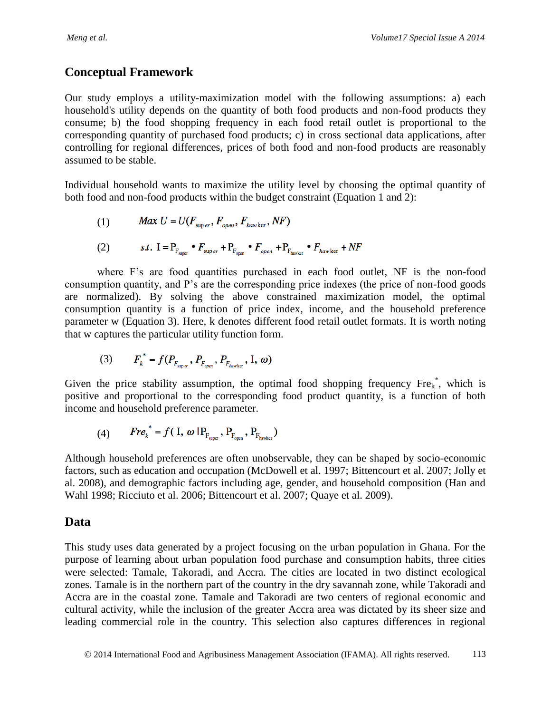### **Conceptual Framework**

Our study employs a utility-maximization model with the following assumptions: a) each household's utility depends on the quantity of both food products and non-food products they consume; b) the food shopping frequency in each food retail outlet is proportional to the corresponding quantity of purchased food products; c) in cross sectional data applications, after controlling for regional differences, prices of both food and non-food products are reasonably assumed to be stable.

Individual household wants to maximize the utility level by choosing the optimal quantity of both food and non-food products within the budget constraint (Equation 1 and 2):

(1) 
$$
Max \ U = U(F_{super}, F_{open}, F_{have \text{ker}}, NF)
$$

(2) 
$$
s.t. I = P_{F_{\text{super}}} \bullet F_{\text{super}} + P_{F_{\text{open}}} \bullet F_{\text{open}} + P_{F_{\text{hawker}}} \bullet F_{\text{hawker}} + NF
$$

where F's are food quantities purchased in each food outlet, NF is the non-food consumption quantity, and P's are the corresponding price indexes (the price of non-food goods are normalized). By solving the above constrained maximization model, the optimal consumption quantity is a function of price index, income, and the household preference parameter w (Equation 3). Here, k denotes different food retail outlet formats. It is worth noting that w captures the particular utility function form.

(3) 
$$
F_k^* = f(P_{F_{\text{super}}}, P_{F_{\text{over}}}, P_{F_{\text{have her}}}, I, \omega)
$$

Given the price stability assumption, the optimal food shopping frequency  $Fre_{k}^*$ , which is positive and proportional to the corresponding food product quantity, is a function of both income and household preference parameter.

$$
(4) \qquad \text{Fre}_{k}^* = f( I, \omega \mid P_{F_{\text{super}}}, P_{F_{\text{open}}}, P_{F_{\text{have}}})
$$

Although household preferences are often unobservable, they can be shaped by socio-economic factors, such as education and occupation (McDowell et al. 1997; Bittencourt et al. 2007; Jolly et al. 2008), and demographic factors including age, gender, and household composition (Han and Wahl 1998; Ricciuto et al. 2006; Bittencourt et al. 2007; Quaye et al. 2009).

### **Data**

This study uses data generated by a project focusing on the urban population in Ghana. For the purpose of learning about urban population food purchase and consumption habits, three cities were selected: Tamale, Takoradi, and Accra. The cities are located in two distinct ecological zones. Tamale is in the northern part of the country in the dry savannah zone, while Takoradi and Accra are in the coastal zone. Tamale and Takoradi are two centers of regional economic and cultural activity, while the inclusion of the greater Accra area was dictated by its sheer size and leading commercial role in the country. This selection also captures differences in regional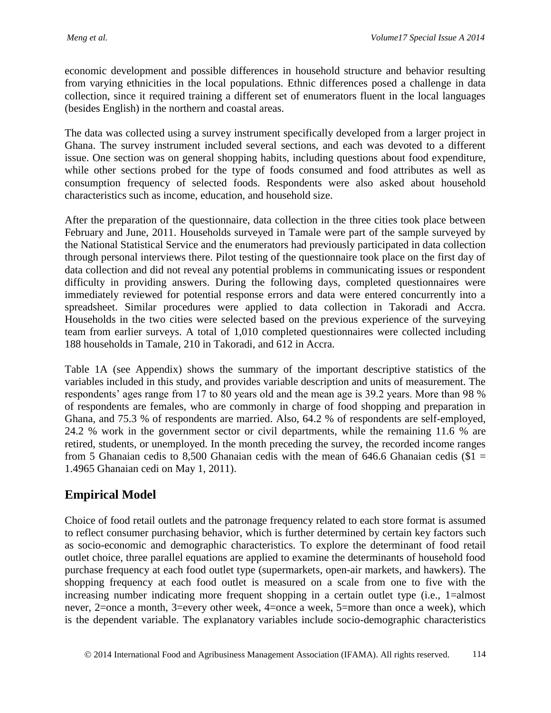economic development and possible differences in household structure and behavior resulting from varying ethnicities in the local populations. Ethnic differences posed a challenge in data collection, since it required training a different set of enumerators fluent in the local languages (besides English) in the northern and coastal areas.

The data was collected using a survey instrument specifically developed from a larger project in Ghana. The survey instrument included several sections, and each was devoted to a different issue. One section was on general shopping habits, including questions about food expenditure, while other sections probed for the type of foods consumed and food attributes as well as consumption frequency of selected foods. Respondents were also asked about household characteristics such as income, education, and household size.

After the preparation of the questionnaire, data collection in the three cities took place between February and June, 2011. Households surveyed in Tamale were part of the sample surveyed by the National Statistical Service and the enumerators had previously participated in data collection through personal interviews there. Pilot testing of the questionnaire took place on the first day of data collection and did not reveal any potential problems in communicating issues or respondent difficulty in providing answers. During the following days, completed questionnaires were immediately reviewed for potential response errors and data were entered concurrently into a spreadsheet. Similar procedures were applied to data collection in Takoradi and Accra. Households in the two cities were selected based on the previous experience of the surveying team from earlier surveys. A total of 1,010 completed questionnaires were collected including 188 households in Tamale, 210 in Takoradi, and 612 in Accra.

Table 1A (see Appendix) shows the summary of the important descriptive statistics of the variables included in this study, and provides variable description and units of measurement. The respondents' ages range from 17 to 80 years old and the mean age is 39.2 years. More than 98 % of respondents are females, who are commonly in charge of food shopping and preparation in Ghana, and 75.3 % of respondents are married. Also, 64.2 % of respondents are self-employed, 24.2 % work in the government sector or civil departments, while the remaining 11.6 % are retired, students, or unemployed. In the month preceding the survey, the recorded income ranges from 5 Ghanaian cedis to 8,500 Ghanaian cedis with the mean of 646.6 Ghanaian cedis ( $$1 =$ 1.4965 Ghanaian cedi on May 1, 2011).

# **Empirical Model**

Choice of food retail outlets and the patronage frequency related to each store format is assumed to reflect consumer purchasing behavior, which is further determined by certain key factors such as socio-economic and demographic characteristics. To explore the determinant of food retail outlet choice, three parallel equations are applied to examine the determinants of household food purchase frequency at each food outlet type (supermarkets, open-air markets, and hawkers). The shopping frequency at each food outlet is measured on a scale from one to five with the increasing number indicating more frequent shopping in a certain outlet type (i.e., 1=almost never, 2=once a month, 3=every other week, 4=once a week, 5=more than once a week), which is the dependent variable. The explanatory variables include socio-demographic characteristics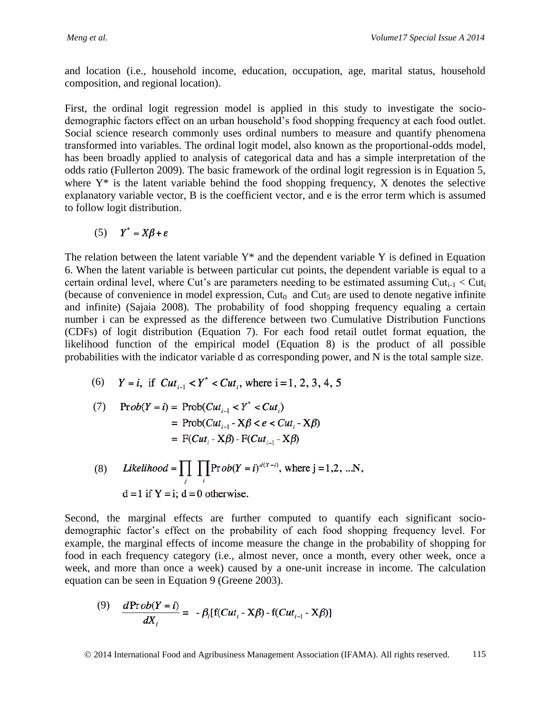and location (i.e., household income, education, occupation, age, marital status, household composition, and regional location).

First, the ordinal logit regression model is applied in this study to investigate the sociodemographic factors effect on an urban household's food shopping frequency at each food outlet. Social science research commonly uses ordinal numbers to measure and quantify phenomena transformed into variables. The ordinal logit model, also known as the proportional-odds model, has been broadly applied to analysis of categorical data and has a simple interpretation of the odds ratio (Fullerton 2009). The basic framework of the ordinal logit regression is in Equation 5, where  $Y^*$  is the latent variable behind the food shopping frequency,  $X$  denotes the selective explanatory variable vector, B is the coefficient vector, and e is the error term which is assumed to follow logit distribution.

$$
(5) \tY^* = X\beta + \varepsilon
$$

The relation between the latent variable  $Y^*$  and the dependent variable Y is defined in Equation 6. When the latent variable is between particular cut points, the dependent variable is equal to a certain ordinal level, where Cut's are parameters needing to be estimated assuming Cut<sub>i-1</sub> < Cut<sub>i</sub> (because of convenience in model expression,  $Cut_0$  and  $Cut_5$  are used to denote negative infinite and infinite) (Sajaia 2008). The probability of food shopping frequency equaling a certain number i can be expressed as the difference between two Cumulative Distribution Functions (CDFs) of logit distribution (Equation 7). For each food retail outlet format equation, the likelihood function of the empirical model (Equation 8) is the product of all possible probabilities with the indicator variable d as corresponding power, and N is the total sample size.

(6)  $Y = i$ , if  $Cut_{i-1} < Y^* < Cut_i$ , where  $i = 1, 2, 3, 4, 5$ 

(7) 
$$
\text{Prob}(Y = i) = \text{Prob}(Cut_{i-1} < Y^* < Cut_i)
$$
\n
$$
= \text{Prob}(Cut_{i-1} - X\beta < e < Cut_i - X\beta)
$$
\n
$$
= \text{F}(Cut_i - X\beta) - \text{F}(Cut_{i-1} - X\beta)
$$

(8) *Likelihood* = 
$$
\prod_{j} \prod_{i} \text{Prob}(Y = i)^{d(Y=i)}
$$
, where j = 1,2, ...N,  
d = 1 if Y = i; d = 0 otherwise.

Second, the marginal effects are further computed to quantify each significant sociodemographic factor's effect on the probability of each food shopping frequency level. For example, the marginal effects of income measure the change in the probability of shopping for food in each frequency category (i.e., almost never, once a month, every other week, once a week, and more than once a week) caused by a one-unit increase in income. The calculation equation can be seen in Equation 9 (Greene 2003).

(9) 
$$
\frac{d\Pr{ob(Y=i)}}{dX_i} = -\beta_i[f(Cut_i - X\beta) - f(Cut_{i-1} - X\beta)]
$$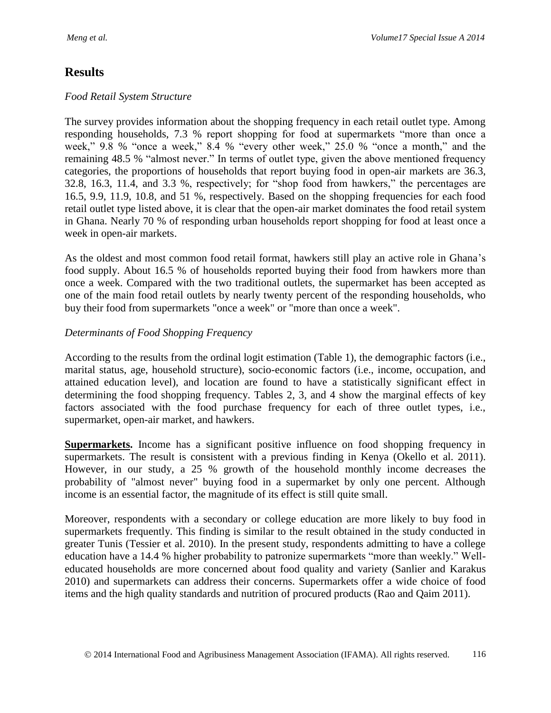## **Results**

#### *Food Retail System Structure*

The survey provides information about the shopping frequency in each retail outlet type. Among responding households, 7.3 % report shopping for food at supermarkets "more than once a week," 9.8 % "once a week," 8.4 % "every other week," 25.0 % "once a month," and the remaining 48.5 % "almost never." In terms of outlet type, given the above mentioned frequency categories, the proportions of households that report buying food in open-air markets are 36.3, 32.8, 16.3, 11.4, and 3.3 %, respectively; for "shop food from hawkers," the percentages are 16.5, 9.9, 11.9, 10.8, and 51 %, respectively. Based on the shopping frequencies for each food retail outlet type listed above, it is clear that the open-air market dominates the food retail system in Ghana. Nearly 70 % of responding urban households report shopping for food at least once a week in open-air markets.

As the oldest and most common food retail format, hawkers still play an active role in Ghana's food supply. About 16.5 % of households reported buying their food from hawkers more than once a week. Compared with the two traditional outlets, the supermarket has been accepted as one of the main food retail outlets by nearly twenty percent of the responding households, who buy their food from supermarkets "once a week" or "more than once a week".

#### *Determinants of Food Shopping Frequency*

According to the results from the ordinal logit estimation (Table 1), the demographic factors (i.e., marital status, age, household structure), socio-economic factors (i.e., income, occupation, and attained education level), and location are found to have a statistically significant effect in determining the food shopping frequency. Tables 2, 3, and 4 show the marginal effects of key factors associated with the food purchase frequency for each of three outlet types, i.e., supermarket, open-air market, and hawkers.

**Supermarkets.** Income has a significant positive influence on food shopping frequency in supermarkets. The result is consistent with a previous finding in Kenya [\(Okello et al. 2011\)](#page-20-0). However, in our study, a 25 % growth of the household monthly income decreases the probability of "almost never" buying food in a supermarket by only one percent. Although income is an essential factor, the magnitude of its effect is still quite small.

Moreover, respondents with a secondary or college education are more likely to buy food in supermarkets frequently. This finding is similar to the result obtained in the study conducted in greater Tunis (Tessier et al. 2010). In the present study, respondents admitting to have a college education have a 14.4 % higher probability to patronize supermarkets "more than weekly." Welleducated households are more concerned about food quality and variety (Sanlier and Karakus 2010) and supermarkets can address their concerns. Supermarkets offer a wide choice of food items and the high quality standards and nutrition of procured products (Rao and Qaim 2011).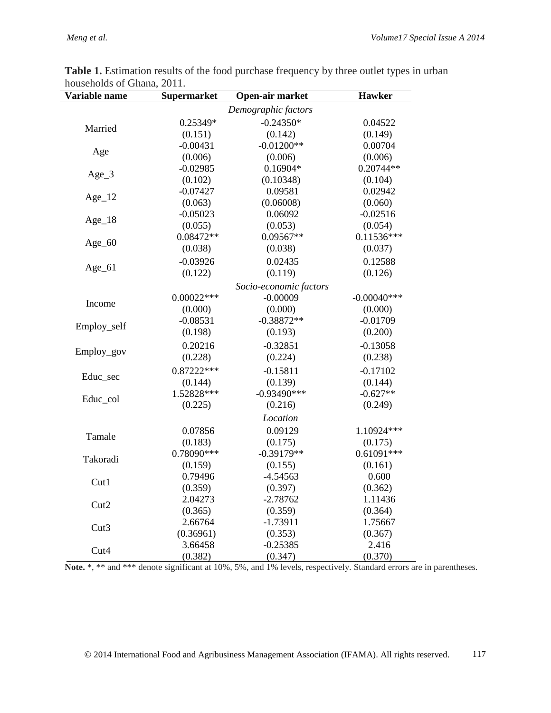$\overline{a}$ 

| Variable name                                                                                                                                                                           | <b>Supermarket</b>                                                                | <b>Hawker</b>       |               |
|-----------------------------------------------------------------------------------------------------------------------------------------------------------------------------------------|-----------------------------------------------------------------------------------|---------------------|---------------|
|                                                                                                                                                                                         |                                                                                   | Demographic factors |               |
|                                                                                                                                                                                         | 0.25349*                                                                          | $-0.24350*$         | 0.04522       |
| Married                                                                                                                                                                                 | (0.151)                                                                           | (0.142)             | (0.149)       |
|                                                                                                                                                                                         | $-0.00431$                                                                        | $-0.01200**$        | 0.00704       |
| Age                                                                                                                                                                                     | (0.006)                                                                           | (0.006)             | (0.006)       |
|                                                                                                                                                                                         | $-0.02985$                                                                        | $0.16904*$          | $0.20744**$   |
| $Age_3$                                                                                                                                                                                 | (0.102)                                                                           | (0.10348)           | (0.104)       |
|                                                                                                                                                                                         | $-0.07427$                                                                        | 0.09581             | 0.02942       |
| $Age_12$                                                                                                                                                                                | (0.063)                                                                           | (0.06008)           | (0.060)       |
|                                                                                                                                                                                         | $-0.05023$                                                                        | 0.06092             | $-0.02516$    |
| $Age_18$                                                                                                                                                                                | (0.055)                                                                           | (0.053)             | (0.054)       |
|                                                                                                                                                                                         | 0.08472**                                                                         | 0.09567**           | $0.11536***$  |
| $Age_60$                                                                                                                                                                                | (0.038)                                                                           | (0.038)             | (0.037)       |
|                                                                                                                                                                                         | $-0.03926$                                                                        | 0.02435             | 0.12588       |
|                                                                                                                                                                                         |                                                                                   |                     | (0.126)       |
|                                                                                                                                                                                         |                                                                                   |                     |               |
|                                                                                                                                                                                         |                                                                                   |                     | $-0.00040***$ |
|                                                                                                                                                                                         | (0.122)<br>$0.00022***$<br>(0.000)<br>$-0.08531$<br>(0.198)<br>0.20216<br>(0.228) |                     | (0.000)       |
|                                                                                                                                                                                         |                                                                                   | $-0.38872**$        | $-0.01709$    |
| Employ_self                                                                                                                                                                             |                                                                                   | (0.193)             | (0.200)       |
| $Age_61$<br>(0.119)<br>Socio-economic factors<br>$-0.00009$<br>Income<br>(0.000)<br>$-0.32851$<br>Employ_gov<br>(0.224)<br>$0.87222***$<br>$-0.15811$<br>Educ_sec<br>(0.139)<br>(0.144) |                                                                                   |                     | $-0.13058$    |
|                                                                                                                                                                                         |                                                                                   | (0.238)             |               |
|                                                                                                                                                                                         |                                                                                   |                     | $-0.17102$    |
|                                                                                                                                                                                         |                                                                                   |                     | (0.144)       |
|                                                                                                                                                                                         | 1.52828 ***                                                                       | $-0.93490***$       | $-0.627**$    |
| Educ_col                                                                                                                                                                                | (0.225)                                                                           | (0.216)             | (0.249)       |
|                                                                                                                                                                                         |                                                                                   |                     |               |
|                                                                                                                                                                                         |                                                                                   |                     | 1.10924***    |
|                                                                                                                                                                                         |                                                                                   |                     | (0.175)       |
|                                                                                                                                                                                         |                                                                                   |                     | $0.61091***$  |
|                                                                                                                                                                                         |                                                                                   |                     | (0.161)       |
|                                                                                                                                                                                         |                                                                                   |                     | 0.600         |
| Location<br>0.09129<br>0.07856<br>Tamale<br>(0.175)<br>(0.183)<br>0.78090 ***<br>$-0.39179**$<br>Takoradi<br>(0.159)<br>(0.155)<br>0.79496<br>$-4.54563$<br>Cut1<br>(0.397)<br>(0.359)  | (0.362)                                                                           |                     |               |
|                                                                                                                                                                                         | 2.04273                                                                           | $-2.78762$          | 1.11436       |
| Cut2                                                                                                                                                                                    | (0.365)                                                                           | (0.359)             | (0.364)       |
|                                                                                                                                                                                         | 2.66764                                                                           | $-1.73911$          | 1.75667       |
| Cut3                                                                                                                                                                                    | (0.36961)                                                                         | (0.353)             | (0.367)       |
|                                                                                                                                                                                         | 3.66458                                                                           | $-0.25385$          | 2.416         |
| Cut4                                                                                                                                                                                    | (0.382)                                                                           | (0.347)             | (0.370)       |

**Table 1.** Estimation results of the food purchase frequency by three outlet types in urban households of Ghana, 2011.

Note.  $\ast$ ,  $\ast\ast$  and  $\ast\ast\ast$  denote significant at 10%, 5%, and 1% levels, respectively. Standard errors are in parentheses.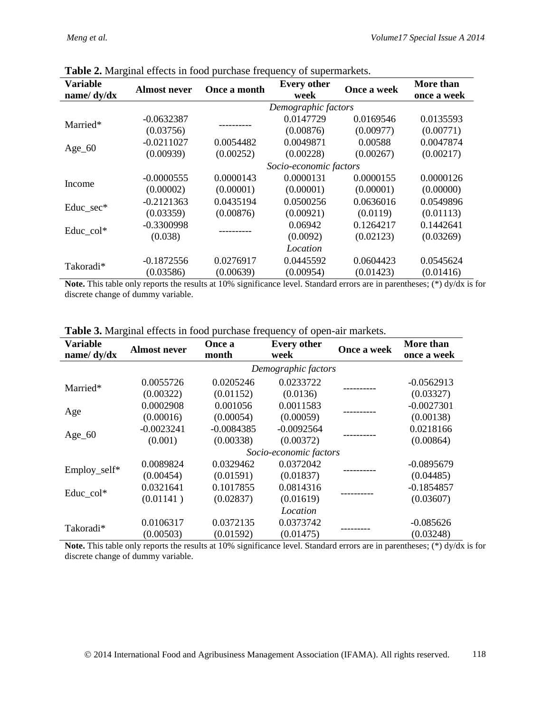| ັ<br><b>Variable</b><br>name/ dy/dx | <b>Almost never</b> | Once a month | <b>Every other</b><br>week | Once a week | More than<br>once a week |  |
|-------------------------------------|---------------------|--------------|----------------------------|-------------|--------------------------|--|
|                                     |                     |              | Demographic factors        |             |                          |  |
|                                     | $-0.0632387$        |              | 0.0147729                  | 0.0169546   | 0.0135593                |  |
| Married*                            | (0.03756)           |              | (0.00876)                  | (0.00977)   | (0.00771)                |  |
|                                     | $-0.0211027$        | 0.0054482    | 0.0049871                  | 0.00588     | 0.0047874                |  |
| $Age_60$                            | (0.00939)           | (0.00252)    | (0.00228)                  | (0.00267)   | (0.00217)                |  |
|                                     |                     |              | Socio-economic factors     |             |                          |  |
|                                     | $-0.0000555$        | 0.0000143    | 0.0000131                  | 0.0000155   | 0.0000126                |  |
| Income                              | (0.00002)           | (0.00001)    | (0.00001)                  | (0.00001)   | (0.00000)                |  |
|                                     | $-0.2121363$        | 0.0435194    | 0.0500256                  | 0.0636016   | 0.0549896                |  |
| Educ_sec*                           | (0.03359)           | (0.00876)    | (0.00921)                  | (0.0119)    | (0.01113)                |  |
| Educ_col*                           | $-0.3300998$        |              | 0.06942                    | 0.1264217   | 0.1442641                |  |
|                                     | (0.038)             |              | (0.0092)                   | (0.02123)   | (0.03269)                |  |
|                                     |                     |              | Location                   |             |                          |  |
| Takoradi*                           | $-0.1872556$        | 0.0276917    | 0.0445592                  | 0.0604423   | 0.0545624                |  |
|                                     | (0.03586)           | (0.00639)    | (0.00954)                  | (0.01423)   | (0.01416)                |  |

**Table 2.** Marginal effects in food purchase frequency of supermarkets.

**Note.** This table only reports the results at 10% significance level. Standard errors are in parentheses; (\*) dy/dx is for discrete change of dummy variable.

| <b>Variable</b><br>name/ $dy/dx$ | <b>Almost never</b> | Once a<br>month | <b>Every other</b><br>week | Once a week | More than<br>once a week |
|----------------------------------|---------------------|-----------------|----------------------------|-------------|--------------------------|
|                                  |                     |                 | Demographic factors        |             |                          |
|                                  | 0.0055726           | 0.0205246       | 0.0233722                  |             | $-0.0562913$             |
| Married*                         | (0.00322)           | (0.01152)       | (0.0136)                   |             | (0.03327)                |
|                                  | 0.0002908           | 0.001056        | 0.0011583                  |             | $-0.0027301$             |
| Age                              | (0.00016)           | (0.00054)       | (0.00059)                  |             | (0.00138)                |
|                                  | $-0.0023241$        | $-0.0084385$    | $-0.0092564$               |             | 0.0218166                |
| $Age_60$                         | (0.001)             | (0.00338)       | (0.00372)                  |             | (0.00864)                |
|                                  |                     |                 | Socio-economic factors     |             |                          |
|                                  | 0.0089824           | 0.0329462       | 0.0372042                  |             | $-0.0895679$             |
| Employ_self*                     | (0.00454)           | (0.01591)       | (0.01837)                  |             | (0.04485)                |
|                                  | 0.0321641           | 0.1017855       | 0.0814316                  |             | $-0.1854857$             |
| Educ_col*                        | (0.01141)           | (0.02837)       | (0.01619)                  |             | (0.03607)                |
|                                  |                     |                 | Location                   |             |                          |
|                                  | 0.0106317           | 0.0372135       | 0.0373742                  |             | $-0.085626$              |
| Takoradi*                        | (0.00503)           | (0.01592)       | (0.01475)                  |             | (0.03248)                |

**Table 3.** Marginal effects in food purchase frequency of open-air markets.

**Note.** This table only reports the results at 10% significance level. Standard errors are in parentheses; (\*) dy/dx is for discrete change of dummy variable.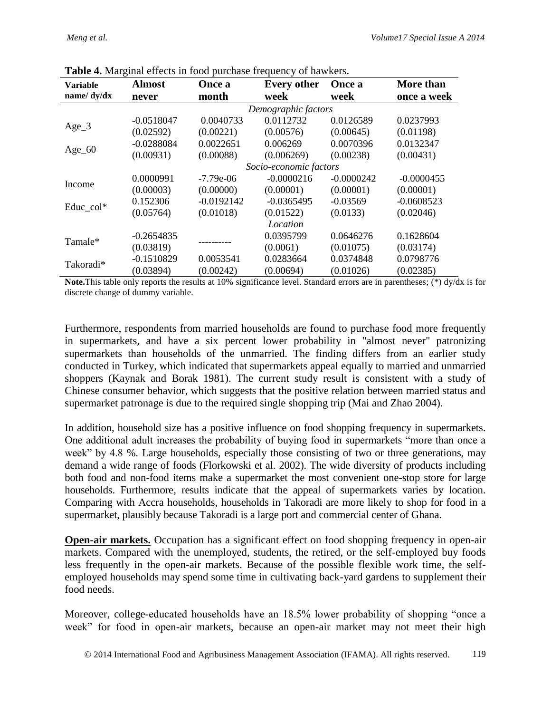| <b>Variable</b> | <b>Almost</b> | Once a              | <b>Every other</b> | Once a       | More than<br>once a week |  |
|-----------------|---------------|---------------------|--------------------|--------------|--------------------------|--|
| name/ $dy/dx$   | never         | month               | week               | week         |                          |  |
|                 |               | Demographic factors |                    |              |                          |  |
| $Age_3$         | $-0.0518047$  | 0.0040733           | 0.0112732          | 0.0126589    | 0.0237993                |  |
|                 | (0.02592)     | (0.00221)           | (0.00576)          | (0.00645)    | (0.01198)                |  |
|                 | $-0.0288084$  | 0.0022651           | 0.006269           | 0.0070396    | 0.0132347                |  |
| $Age_60$        | (0.00931)     | (0.00088)           | (0.006269)         | (0.00238)    | (0.00431)                |  |
|                 |               |                     |                    |              |                          |  |
| Income          | 0.0000991     | $-7.79e-06$         | $-0.0000216$       | $-0.0000242$ | $-0.0000455$             |  |
|                 | (0.00003)     | (0.00000)           | (0.00001)          | (0.00001)    | (0.00001)                |  |
| Educ_col*       | 0.152306      | $-0.0192142$        | $-0.0365495$       | $-0.03569$   | $-0.0608523$             |  |
|                 | (0.05764)     | (0.01018)           | (0.01522)          | (0.0133)     | (0.02046)                |  |
|                 |               |                     | Location           |              |                          |  |
| Tamale*         | $-0.2654835$  |                     | 0.0395799          | 0.0646276    | 0.1628604                |  |
|                 | (0.03819)     |                     | (0.0061)           | (0.01075)    | (0.03174)                |  |
| Takoradi*       | $-0.1510829$  | 0.0053541           | 0.0283664          | 0.0374848    | 0.0798776                |  |
|                 | (0.03894)     | (0.00242)           | (0.00694)          | (0.01026)    | (0.02385)                |  |

| Table 4. Marginal effects in food purchase frequency of hawkers. |  |  |  |
|------------------------------------------------------------------|--|--|--|
|                                                                  |  |  |  |

**Note.**This table only reports the results at 10% significance level. Standard errors are in parentheses; (\*) dy/dx is for discrete change of dummy variable.

Furthermore, respondents from married households are found to purchase food more frequently in supermarkets, and have a six percent lower probability in "almost never" patronizing supermarkets than households of the unmarried. The finding differs from an earlier study conducted in Turkey, which indicated that supermarkets appeal equally to married and unmarried shoppers (Kaynak and Borak 1981). The current study result is consistent with a study of Chinese consumer behavior, which suggests that the positive relation between married status and supermarket patronage is due to the required single shopping trip (Mai and Zhao 2004).

In addition, household size has a positive influence on food shopping frequency in supermarkets. One additional adult increases the probability of buying food in supermarkets "more than once a week" by 4.8 %. Large households, especially those consisting of two or three generations, may demand a wide range of foods (Florkowski et al. 2002). The wide diversity of products including both food and non-food items make a supermarket the most convenient one-stop store for large households. Furthermore, results indicate that the appeal of supermarkets varies by location. Comparing with Accra households, households in Takoradi are more likely to shop for food in a supermarket, plausibly because Takoradi is a large port and commercial center of Ghana.

**Open-air markets.** Occupation has a significant effect on food shopping frequency in open-air markets. Compared with the unemployed, students, the retired, or the self-employed buy foods less frequently in the open-air markets. Because of the possible flexible work time, the selfemployed households may spend some time in cultivating back-yard gardens to supplement their food needs.

Moreover, college-educated households have an 18.5% lower probability of shopping "once a week" for food in open-air markets, because an open-air market may not meet their high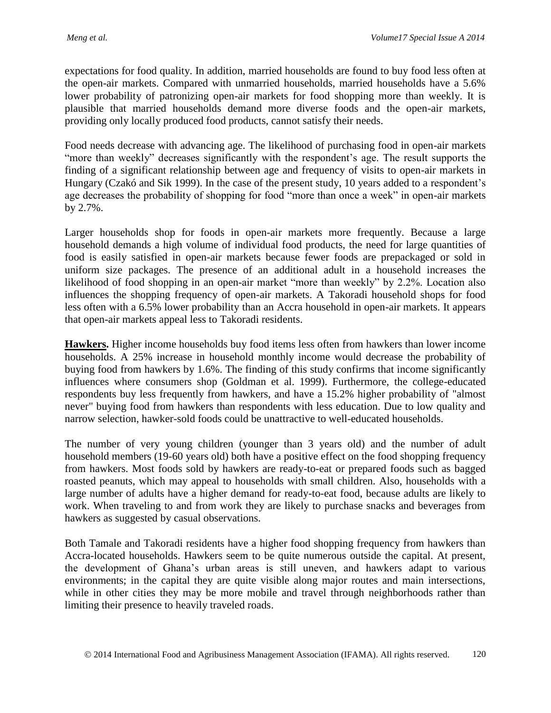expectations for food quality. In addition, married households are found to buy food less often at the open-air markets. Compared with unmarried households, married households have a 5.6% lower probability of patronizing open-air markets for food shopping more than weekly. It is plausible that married households demand more diverse foods and the open-air markets, providing only locally produced food products, cannot satisfy their needs.

Food needs decrease with advancing age. The likelihood of purchasing food in open-air markets "more than weekly" decreases significantly with the respondent's age. The result supports the finding of a significant relationship between age and frequency of visits to open-air markets in Hungary (Czakó and Sik 1999). In the case of the present study, 10 years added to a respondent's age decreases the probability of shopping for food "more than once a week" in open-air markets by 2.7%.

Larger households shop for foods in open-air markets more frequently. Because a large household demands a high volume of individual food products, the need for large quantities of food is easily satisfied in open-air markets because fewer foods are prepackaged or sold in uniform size packages. The presence of an additional adult in a household increases the likelihood of food shopping in an open-air market "more than weekly" by 2.2%. Location also influences the shopping frequency of open-air markets. A Takoradi household shops for food less often with a 6.5% lower probability than an Accra household in open-air markets. It appears that open-air markets appeal less to Takoradi residents.

**Hawkers.** Higher income households buy food items less often from hawkers than lower income households. A 25% increase in household monthly income would decrease the probability of buying food from hawkers by 1.6%. The finding of this study confirms that income significantly influences where consumers shop (Goldman et al. 1999). Furthermore, the college-educated respondents buy less frequently from hawkers, and have a 15.2% higher probability of "almost never" buying food from hawkers than respondents with less education. Due to low quality and narrow selection, hawker-sold foods could be unattractive to well-educated households.

The number of very young children (younger than 3 years old) and the number of adult household members (19-60 years old) both have a positive effect on the food shopping frequency from hawkers. Most foods sold by hawkers are ready-to-eat or prepared foods such as bagged roasted peanuts, which may appeal to households with small children. Also, households with a large number of adults have a higher demand for ready-to-eat food, because adults are likely to work. When traveling to and from work they are likely to purchase snacks and beverages from hawkers as suggested by casual observations.

Both Tamale and Takoradi residents have a higher food shopping frequency from hawkers than Accra-located households. Hawkers seem to be quite numerous outside the capital. At present, the development of Ghana's urban areas is still uneven, and hawkers adapt to various environments; in the capital they are quite visible along major routes and main intersections, while in other cities they may be more mobile and travel through neighborhoods rather than limiting their presence to heavily traveled roads.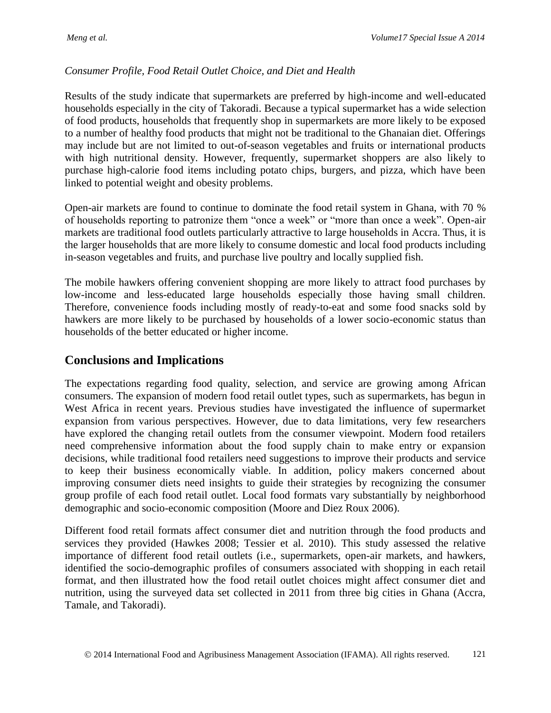#### *Consumer Profile, Food Retail Outlet Choice, and Diet and Health*

Results of the study indicate that supermarkets are preferred by high-income and well-educated households especially in the city of Takoradi. Because a typical supermarket has a wide selection of food products, households that frequently shop in supermarkets are more likely to be exposed to a number of healthy food products that might not be traditional to the Ghanaian diet. Offerings may include but are not limited to out-of-season vegetables and fruits or international products with high nutritional density. However, frequently, supermarket shoppers are also likely to purchase high-calorie food items including potato chips, burgers, and pizza, which have been linked to potential weight and obesity problems.

Open-air markets are found to continue to dominate the food retail system in Ghana, with 70 % of households reporting to patronize them "once a week" or "more than once a week". Open-air markets are traditional food outlets particularly attractive to large households in Accra. Thus, it is the larger households that are more likely to consume domestic and local food products including in-season vegetables and fruits, and purchase live poultry and locally supplied fish.

The mobile hawkers offering convenient shopping are more likely to attract food purchases by low-income and less-educated large households especially those having small children. Therefore, convenience foods including mostly of ready-to-eat and some food snacks sold by hawkers are more likely to be purchased by households of a lower socio-economic status than households of the better educated or higher income.

### **Conclusions and Implications**

The expectations regarding food quality, selection, and service are growing among African consumers. The expansion of modern food retail outlet types, such as supermarkets, has begun in West Africa in recent years. Previous studies have investigated the influence of supermarket expansion from various perspectives. However, due to data limitations, very few researchers have explored the changing retail outlets from the consumer viewpoint. Modern food retailers need comprehensive information about the food supply chain to make entry or expansion decisions, while traditional food retailers need suggestions to improve their products and service to keep their business economically viable. In addition, policy makers concerned about improving consumer diets need insights to guide their strategies by recognizing the consumer group profile of each food retail outlet. Local food formats vary substantially by neighborhood demographic and socio-economic composition (Moore and Diez Roux 2006).

Different food retail formats affect consumer diet and nutrition through the food products and services they provided (Hawkes 2008; Tessier et al. 2010). This study assessed the relative importance of different food retail outlets (i.e., supermarkets, open-air markets, and hawkers, identified the socio-demographic profiles of consumers associated with shopping in each retail format, and then illustrated how the food retail outlet choices might affect consumer diet and nutrition, using the surveyed data set collected in 2011 from three big cities in Ghana (Accra, Tamale, and Takoradi).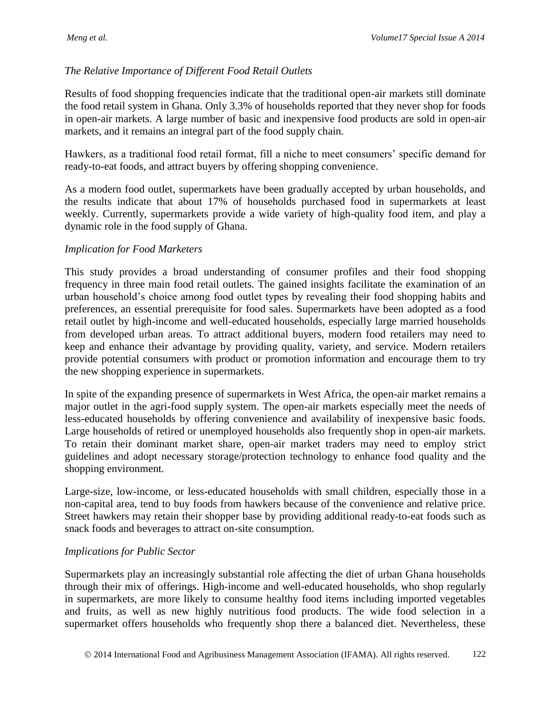#### *The Relative Importance of Different Food Retail Outlets*

Results of food shopping frequencies indicate that the traditional open-air markets still dominate the food retail system in Ghana. Only 3.3% of households reported that they never shop for foods in open-air markets. A large number of basic and inexpensive food products are sold in open-air markets, and it remains an integral part of the food supply chain.

Hawkers, as a traditional food retail format, fill a niche to meet consumers' specific demand for ready-to-eat foods, and attract buyers by offering shopping convenience.

As a modern food outlet, supermarkets have been gradually accepted by urban households, and the results indicate that about 17% of households purchased food in supermarkets at least weekly. Currently, supermarkets provide a wide variety of high-quality food item, and play a dynamic role in the food supply of Ghana.

#### *Implication for Food Marketers*

This study provides a broad understanding of consumer profiles and their food shopping frequency in three main food retail outlets. The gained insights facilitate the examination of an urban household's choice among food outlet types by revealing their food shopping habits and preferences, an essential prerequisite for food sales. Supermarkets have been adopted as a food retail outlet by high-income and well-educated households, especially large married households from developed urban areas. To attract additional buyers, modern food retailers may need to keep and enhance their advantage by providing quality, variety, and service. Modern retailers provide potential consumers with product or promotion information and encourage them to try the new shopping experience in supermarkets.

In spite of the expanding presence of supermarkets in West Africa, the open-air market remains a major outlet in the agri-food supply system. The open-air markets especially meet the needs of less-educated households by offering convenience and availability of inexpensive basic foods. Large households of retired or unemployed households also frequently shop in open-air markets. To retain their dominant market share, open-air market traders may need to employ strict guidelines and adopt necessary storage/protection technology to enhance food quality and the shopping environment.

Large-size, low-income, or less-educated households with small children, especially those in a non-capital area, tend to buy foods from hawkers because of the convenience and relative price. Street hawkers may retain their shopper base by providing additional ready-to-eat foods such as snack foods and beverages to attract on-site consumption.

#### *Implications for Public Sector*

Supermarkets play an increasingly substantial role affecting the diet of urban Ghana households through their mix of offerings. High-income and well-educated households, who shop regularly in supermarkets, are more likely to consume healthy food items including imported vegetables and fruits, as well as new highly nutritious food products. The wide food selection in a supermarket offers households who frequently shop there a balanced diet. Nevertheless, these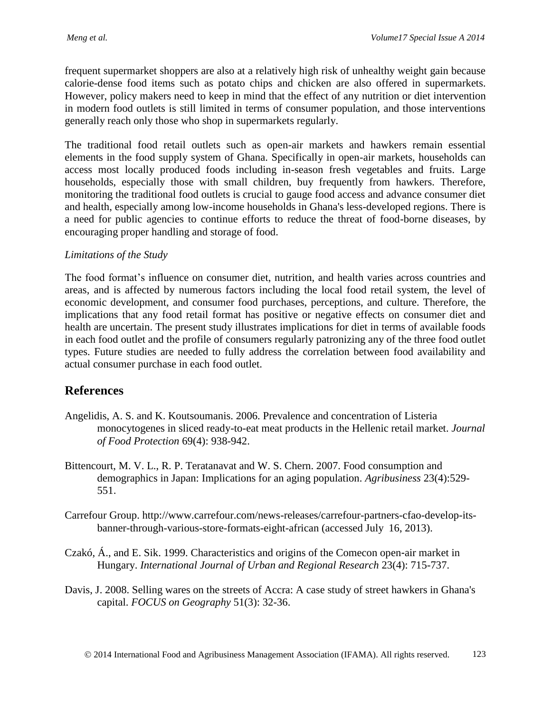frequent supermarket shoppers are also at a relatively high risk of unhealthy weight gain because calorie-dense food items such as potato chips and chicken are also offered in supermarkets. However, policy makers need to keep in mind that the effect of any nutrition or diet intervention in modern food outlets is still limited in terms of consumer population, and those interventions generally reach only those who shop in supermarkets regularly.

The traditional food retail outlets such as open-air markets and hawkers remain essential elements in the food supply system of Ghana. Specifically in open-air markets, households can access most locally produced foods including in-season fresh vegetables and fruits. Large households, especially those with small children, buy frequently from hawkers. Therefore, monitoring the traditional food outlets is crucial to gauge food access and advance consumer diet and health, especially among low-income households in Ghana's less-developed regions. There is a need for public agencies to continue efforts to reduce the threat of food-borne diseases, by encouraging proper handling and storage of food.

#### *Limitations of the Study*

The food format's influence on consumer diet, nutrition, and health varies across countries and areas, and is affected by numerous factors including the local food retail system, the level of economic development, and consumer food purchases, perceptions, and culture. Therefore, the implications that any food retail format has positive or negative effects on consumer diet and health are uncertain. The present study illustrates implications for diet in terms of available foods in each food outlet and the profile of consumers regularly patronizing any of the three food outlet types. Future studies are needed to fully address the correlation between food availability and actual consumer purchase in each food outlet.

# **References**

- Angelidis, A. S. and K. Koutsoumanis. 2006. Prevalence and concentration of Listeria monocytogenes in sliced ready-to-eat meat products in the Hellenic retail market. *Journal of Food Protection* 69(4): 938-942.
- Bittencourt, M. V. L., R. P. Teratanavat and W. S. Chern. 2007. Food consumption and demographics in Japan: Implications for an aging population. *Agribusiness* 23(4):529- 551.
- Carrefour Group. http://www.carrefour.com/news-releases/carrefour-partners-cfao-develop-itsbanner-through-various-store-formats-eight-african (accessed July 16, 2013).
- Czakó, Á., and E. Sik. 1999. Characteristics and origins of the Comecon open-air market in Hungary. *International Journal of Urban and Regional Research* 23(4): 715-737.
- Davis, J. 2008. Selling wares on the streets of Accra: A case study of street hawkers in Ghana's capital. *FOCUS on Geography* 51(3): 32-36.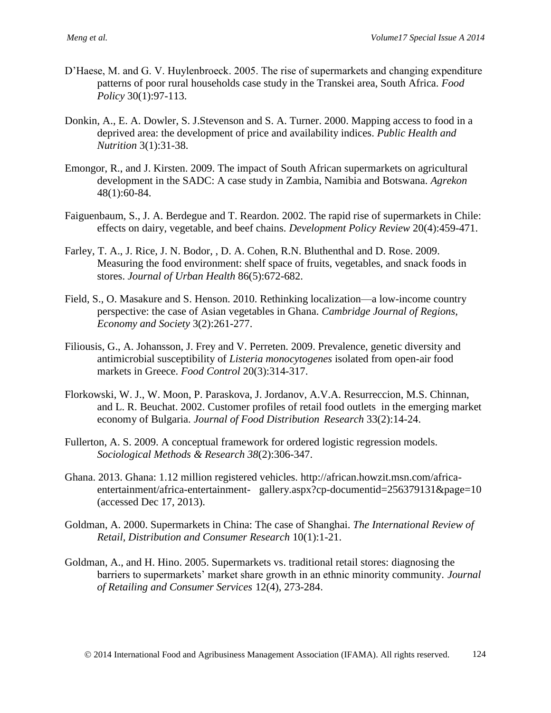- D'Haese, M. and G. V. Huylenbroeck. 2005. The rise of supermarkets and changing expenditure patterns of poor rural households case study in the Transkei area, South Africa. *Food Policy* 30(1):97-113.
- Donkin, A., E. A. Dowler, S. J.Stevenson and S. A. Turner. 2000. Mapping access to food in a deprived area: the development of price and availability indices. *Public Health and Nutrition* 3(1):31-38.
- Emongor, R., and J. Kirsten. 2009. The impact of South African supermarkets on agricultural development in the SADC: A case study in Zambia, Namibia and Botswana. *Agrekon*  48(1):60-84.
- Faiguenbaum, S., J. A. Berdegue and T. Reardon. 2002. The rapid rise of supermarkets in Chile: effects on dairy, vegetable, and beef chains. *Development Policy Review* 20(4):459-471.
- Farley, T. A., J. Rice, J. N. Bodor, , D. A. Cohen, R.N. Bluthenthal and D. Rose. 2009. Measuring the food environment: shelf space of fruits, vegetables, and snack foods in stores. *Journal of Urban Health* 86(5):672-682.
- Field, S., O. Masakure and S. Henson. 2010. Rethinking localization—a low-income country perspective: the case of Asian vegetables in Ghana. *Cambridge Journal of Regions, Economy and Society* 3(2):261-277.
- Filiousis, G., A. Johansson, J. Frey and V. Perreten. 2009. Prevalence, genetic diversity and antimicrobial susceptibility of *Listeria monocytogenes* isolated from open-air food markets in Greece. *Food Control* 20(3):314-317.
- Florkowski, W. J., W. Moon, P. Paraskova, J. Jordanov, A.V.A. Resurreccion, M.S. Chinnan, and L. R. Beuchat. 2002. Customer profiles of retail food outlets in the emerging market economy of Bulgaria. *Journal of Food Distribution Research* 33(2):14-24.
- Fullerton, A. S. 2009. A conceptual framework for ordered logistic regression models. *Sociological Methods & Research 38*(2):306-347.
- Ghana. 2013. Ghana: 1.12 million registered vehicles. [http://african.howzit.msn.com/africa](http://african.howzit.msn.com/africa-entertainment/africa-entertainment-%09gallery.aspx?cp-documentid=256379131&page=10)entertainment/africa-entertainment- [gallery.aspx?cp-documentid=256379131&page=10](http://african.howzit.msn.com/africa-entertainment/africa-entertainment-%09gallery.aspx?cp-documentid=256379131&page=10) (accessed Dec 17, 2013).
- Goldman, A. 2000. Supermarkets in China: The case of Shanghai. *The International Review of Retail, Distribution and Consumer Research* 10(1):1-21.
- Goldman, A., and H. Hino. 2005. Supermarkets vs. traditional retail stores: diagnosing the barriers to supermarkets' market share growth in an ethnic minority community. *Journal of Retailing and Consumer Services* 12(4), 273-284.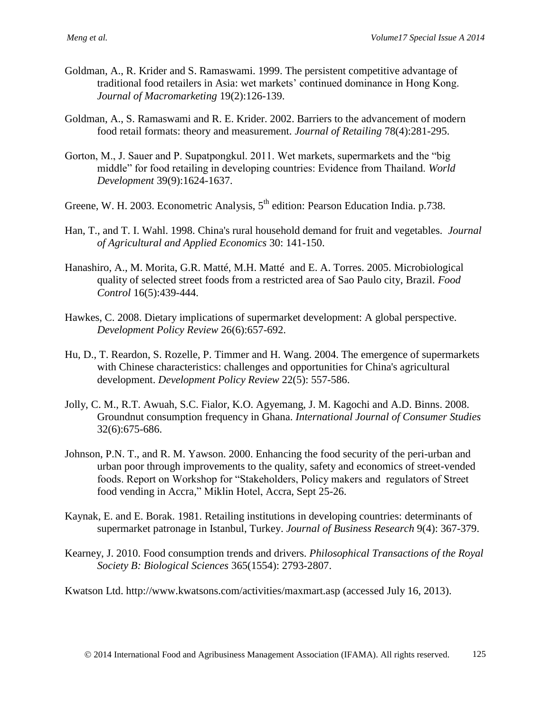- Goldman, A., R. Krider and S. Ramaswami. 1999. The persistent competitive advantage of traditional food retailers in Asia: wet markets' continued dominance in Hong Kong. *Journal of Macromarketing* 19(2):126-139.
- Goldman, A., S. Ramaswami and R. E. Krider. 2002. Barriers to the advancement of modern food retail formats: theory and measurement. *Journal of Retailing* 78(4):281-295.
- Gorton, M., J. Sauer and P. Supatpongkul. 2011. Wet markets, supermarkets and the "big middle" for food retailing in developing countries: Evidence from Thailand. *World Development* 39(9):1624-1637.
- Greene, W. H. 2003. Econometric Analysis,  $5<sup>th</sup>$  edition: Pearson Education India. p.738.
- Han, T., and T. I. Wahl. 1998. China's rural household demand for fruit and vegetables. *Journal of Agricultural and Applied Economics* 30: 141-150.
- Hanashiro, A., M. Morita, G.R. Matté, M.H. Matté and E. A. Torres. 2005. Microbiological quality of selected street foods from a restricted area of Sao Paulo city, Brazil. *Food Control* 16(5):439-444.
- Hawkes, C. 2008. Dietary implications of supermarket development: A global perspective. *Development Policy Review* 26(6):657-692.
- Hu, D., T. Reardon, S. Rozelle, P. Timmer and H. Wang. 2004. The emergence of supermarkets with Chinese characteristics: challenges and opportunities for China's agricultural development. *Development Policy Review* 22(5): 557-586.
- Jolly, C. M., R.T. Awuah, S.C. Fialor, K.O. Agyemang, J. M. Kagochi and A.D. Binns. 2008. Groundnut consumption frequency in Ghana. *International Journal of Consumer Studies* 32(6):675-686.
- Johnson, P.N. T., and R. M. Yawson. 2000. Enhancing the food security of the peri-urban and urban poor through improvements to the quality, safety and economics of street-vended foods. Report on Workshop for "Stakeholders, Policy makers and regulators of Street food vending in Accra," Miklin Hotel, Accra, Sept 25-26.
- Kaynak, E. and E. Borak. 1981. Retailing institutions in developing countries: determinants of supermarket patronage in Istanbul, Turkey. *Journal of Business Research* 9(4): 367-379.
- Kearney, J. 2010. Food consumption trends and drivers. *Philosophical Transactions of the Royal Society B: Biological Sciences* 365(1554): 2793-2807.

Kwatson Ltd.<http://www.kwatsons.com/activities/maxmart.asp> (accessed July 16, 2013).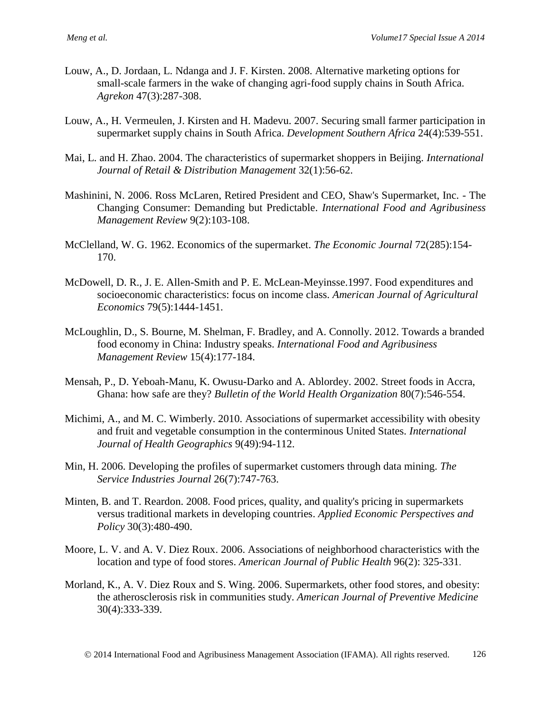- Louw, A., D. Jordaan, L. Ndanga and J. F. Kirsten. 2008. Alternative marketing options for small-scale farmers in the wake of changing agri-food supply chains in South Africa. *Agrekon* 47(3):287-308.
- Louw, A., H. Vermeulen, J. Kirsten and H. Madevu. 2007. Securing small farmer participation in supermarket supply chains in South Africa. *Development Southern Africa* 24(4):539-551.
- Mai, L. and H. Zhao. 2004. The characteristics of supermarket shoppers in Beijing. *International Journal of Retail & Distribution Management* 32(1):56-62.
- Mashinini, N. 2006. Ross McLaren, Retired President and CEO, Shaw's Supermarket, Inc. The Changing Consumer: Demanding but Predictable. *International Food and Agribusiness Management Review* 9(2):103-108.
- McClelland, W. G. 1962. Economics of the supermarket. *The Economic Journal* 72(285):154- 170.
- McDowell, D. R., J. E. Allen-Smith and P. E. McLean-Meyinsse.1997. Food expenditures and socioeconomic characteristics: focus on income class. *American Journal of Agricultural Economics* 79(5):1444-1451.
- McLoughlin, D., S. Bourne, M. Shelman, F. Bradley, and A. Connolly. 2012. Towards a branded food economy in China: Industry speaks. *International Food and Agribusiness Management Review* 15(4):177-184.
- Mensah, P., D. Yeboah-Manu, K. Owusu-Darko and A. Ablordey. 2002. Street foods in Accra, Ghana: how safe are they? *Bulletin of the World Health Organization* 80(7):546-554.
- Michimi, A., and M. C. Wimberly. 2010. Associations of supermarket accessibility with obesity and fruit and vegetable consumption in the conterminous United States. *International Journal of Health Geographics* 9(49):94-112.
- Min, H. 2006. Developing the profiles of supermarket customers through data mining. *The Service Industries Journal* 26(7):747-763.
- Minten, B. and T. Reardon. 2008. Food prices, quality, and quality's pricing in supermarkets versus traditional markets in developing countries. *Applied Economic Perspectives and Policy* 30(3):480-490.
- Moore, L. V. and A. V. Diez Roux. 2006. Associations of neighborhood characteristics with the location and type of food stores. *American Journal of Public Health* 96(2): 325-331.
- Morland, K., A. V. Diez Roux and S. Wing. 2006. Supermarkets, other food stores, and obesity: the atherosclerosis risk in communities study. *American Journal of Preventive Medicine*  30(4):333-339.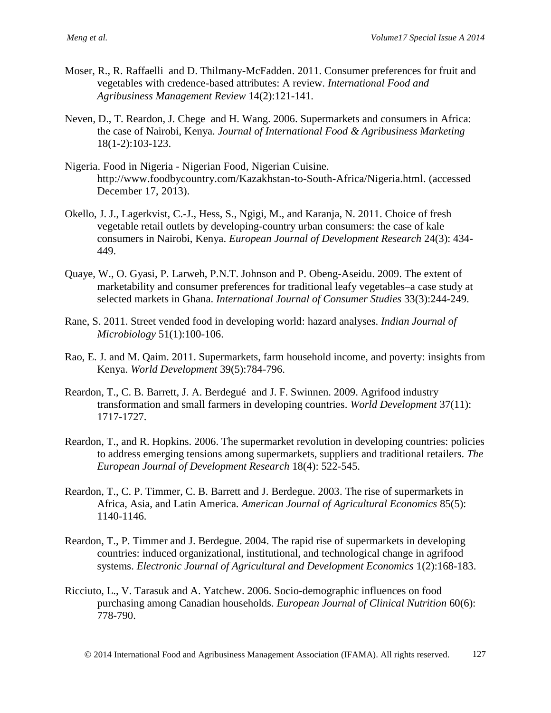- Moser, R., R. Raffaelli and D. Thilmany-McFadden. 2011. Consumer preferences for fruit and vegetables with credence-based attributes: A review. *International Food and Agribusiness Management Review* 14(2):121-141.
- Neven, D., T. Reardon, J. Chege and H. Wang. 2006. Supermarkets and consumers in Africa: the case of Nairobi, Kenya. *Journal of International Food & Agribusiness Marketing*  18(1-2):103-123.
- Nigeria. Food in Nigeria Nigerian Food, Nigerian Cuisine. [http://www.foodbycountry.com/Kazakhstan-to-South-Africa/Nigeria.html.](http://www.foodbycountry.com/Kazakhstan-to-South-Africa/Nigeria.html) (accessed December 17, 2013).
- <span id="page-20-0"></span>Okello, J. J., Lagerkvist, C.-J., Hess, S., Ngigi, M., and Karanja, N. 2011. Choice of fresh vegetable retail outlets by developing-country urban consumers: the case of kale consumers in Nairobi, Kenya. *European Journal of Development Research* 24(3): 434- 449.
- Quaye, W., O. Gyasi, P. Larweh, P.N.T. Johnson and P. Obeng-Aseidu. 2009. The extent of marketability and consumer preferences for traditional leafy vegetables–a case study at selected markets in Ghana. *International Journal of Consumer Studies* 33(3):244-249.
- Rane, S. 2011. Street vended food in developing world: hazard analyses. *Indian Journal of Microbiology* 51(1):100-106.
- Rao, E. J. and M. Qaim. 2011. Supermarkets, farm household income, and poverty: insights from Kenya. *World Development* 39(5):784-796.
- Reardon, T., C. B. Barrett, J. A. Berdegué and J. F. Swinnen. 2009. Agrifood industry transformation and small farmers in developing countries. *World Development* 37(11): 1717-1727.
- Reardon, T., and R. Hopkins. 2006. The supermarket revolution in developing countries: policies to address emerging tensions among supermarkets, suppliers and traditional retailers. *The European Journal of Development Research* 18(4): 522-545.
- Reardon, T., C. P. Timmer, C. B. Barrett and J. Berdegue. 2003. The rise of supermarkets in Africa, Asia, and Latin America. *American Journal of Agricultural Economics* 85(5): 1140-1146.
- Reardon, T., P. Timmer and J. Berdegue. 2004. The rapid rise of supermarkets in developing countries: induced organizational, institutional, and technological change in agrifood systems. *Electronic Journal of Agricultural and Development Economics* 1(2):168-183.
- Ricciuto, L., V. Tarasuk and A. Yatchew. 2006. Socio-demographic influences on food purchasing among Canadian households. *European Journal of Clinical Nutrition* 60(6): 778-790.

2014 International Food and Agribusiness Management Association (IFAMA). All rights reserved. 127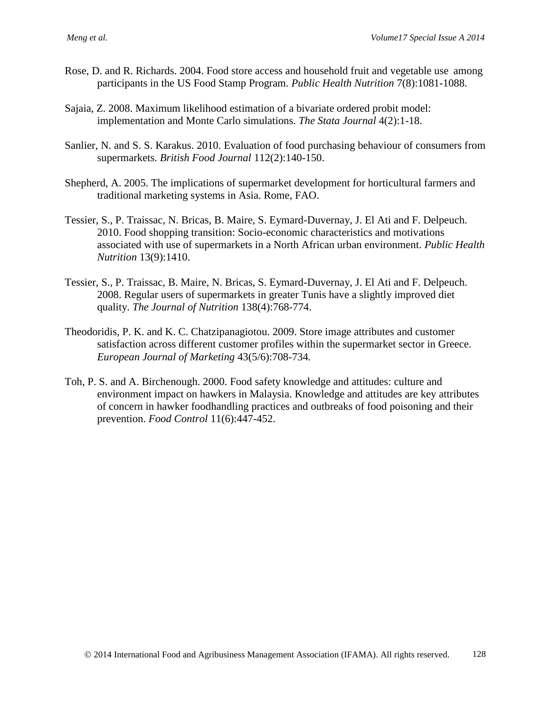- Rose, D. and R. Richards. 2004. Food store access and household fruit and vegetable use among participants in the US Food Stamp Program. *Public Health Nutrition* 7(8):1081-1088.
- Sajaia, Z. 2008. Maximum likelihood estimation of a bivariate ordered probit model: implementation and Monte Carlo simulations. *The Stata Journal* 4(2):1-18.
- Sanlier, N. and S. S. Karakus. 2010. Evaluation of food purchasing behaviour of consumers from supermarkets. *British Food Journal* 112(2):140-150.
- Shepherd, A. 2005. The implications of supermarket development for horticultural farmers and traditional marketing systems in Asia. Rome, FAO.
- Tessier, S., P. Traissac, N. Bricas, B. Maire, S. Eymard-Duvernay, J. El Ati and F. Delpeuch. 2010. Food shopping transition: Socio-economic characteristics and motivations associated with use of supermarkets in a North African urban environment. *Public Health Nutrition* 13(9):1410.
- Tessier, S., P. Traissac, B. Maire, N. Bricas, S. Eymard-Duvernay, J. El Ati and F. Delpeuch. 2008. Regular users of supermarkets in greater Tunis have a slightly improved diet quality. *The Journal of Nutrition* 138(4):768-774.
- Theodoridis, P. K. and K. C. Chatzipanagiotou. 2009. Store image attributes and customer satisfaction across different customer profiles within the supermarket sector in Greece. *European Journal of Marketing* 43(5/6):708-734*.*
- Toh, P. S. and A. Birchenough. 2000. Food safety knowledge and attitudes: culture and environment impact on hawkers in Malaysia. Knowledge and attitudes are key attributes of concern in hawker foodhandling practices and outbreaks of food poisoning and their prevention. *Food Control* 11(6):447-452.